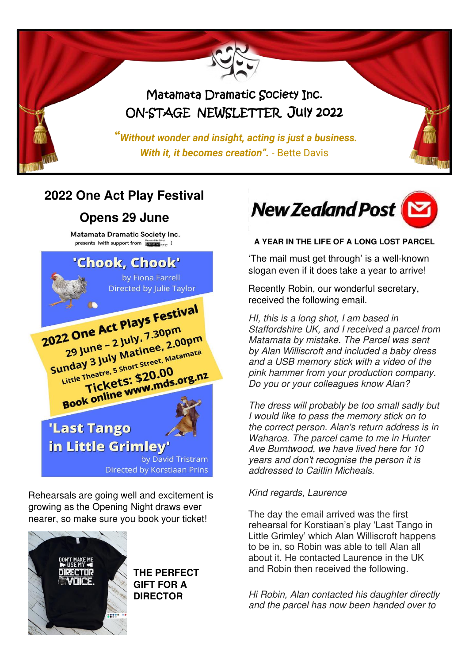

## **2022 One Act Play Festival**

### **Opens 29 June**

**Matamata Dramatic Society Inc.** presents (with support from  $\frac{\text{Maxwell of the Bint}}{\text{Maxwell of } \mu_{ZZ}}$ )



Rehearsals are going well and excitement is growing as the Opening Night draws ever nearer, so make sure you book your ticket!



#### **THE PERFECT GIFT FOR A DIRECTOR**



**A YEAR IN THE LIFE OF A LONG LOST PARCEL** 

'The mail must get through' is a well-known slogan even if it does take a year to arrive!

Recently Robin, our wonderful secretary, received the following email.

HI, this is a long shot, I am based in Staffordshire UK, and I received a parcel from Matamata by mistake. The Parcel was sent by Alan Williscroft and included a baby dress and a USB memory stick with a video of the pink hammer from your production company. Do you or your colleagues know Alan?

The dress will probably be too small sadly but I would like to pass the memory stick on to the correct person. Alan's return address is in Waharoa. The parcel came to me in Hunter Ave Burntwood, we have lived here for 10 years and don't recognise the person it is addressed to Caitlin Micheals.

#### Kind regards, Laurence

The day the email arrived was the first rehearsal for Korstiaan's play 'Last Tango in Little Grimley' which Alan Williscroft happens to be in, so Robin was able to tell Alan all about it. He contacted Laurence in the UK and Robin then received the following.

Hi Robin, Alan contacted his daughter directly and the parcel has now been handed over to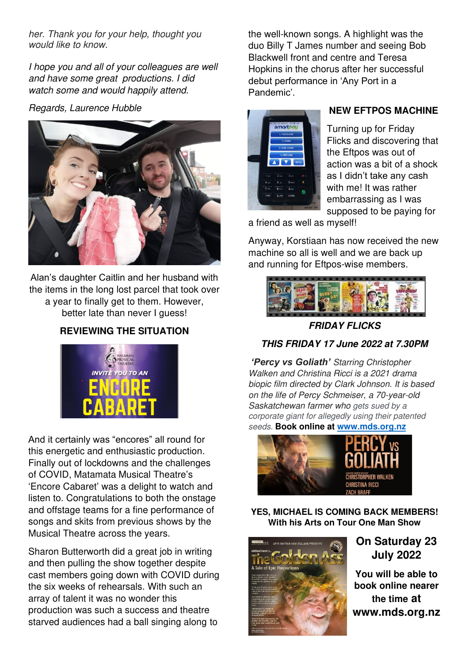her. Thank you for your help, thought you would like to know.

I hope you and all of your colleagues are well and have some great productions. I did watch some and would happily attend.

Regards, Laurence Hubble



Alan's daughter Caitlin and her husband with the items in the long lost parcel that took over a year to finally get to them. However, better late than never I guess!

### **REVIEWING THE SITUATION**



And it certainly was "encores" all round for this energetic and enthusiastic production. Finally out of lockdowns and the challenges of COVID, Matamata Musical Theatre's 'Encore Cabaret' was a delight to watch and listen to. Congratulations to both the onstage and offstage teams for a fine performance of songs and skits from previous shows by the Musical Theatre across the years.

Sharon Butterworth did a great job in writing and then pulling the show together despite cast members going down with COVID during the six weeks of rehearsals. With such an array of talent it was no wonder this production was such a success and theatre starved audiences had a ball singing along to

the well-known songs. A highlight was the duo Billy T James number and seeing Bob Blackwell front and centre and Teresa Hopkins in the chorus after her successful debut performance in 'Any Port in a Pandemic'.



#### **NEW EFTPOS MACHINE**

Turning up for Friday Flicks and discovering that the Eftpos was out of action was a bit of a shock as I didn't take any cash with me! It was rather embarrassing as I was supposed to be paying for

a friend as well as myself!

Anyway, Korstiaan has now received the new machine so all is well and we are back up and running for Eftpos-wise members.



**FRIDAY FLICKS** 

### **THIS FRIDAY 17 June 2022 at 7.30PM**

*'Percy vs Goliath'* Starring Christopher Walken and Christina Ricci is a 2021 drama biopic film directed by Clark Johnson. It is based on the life of Percy Schmeiser, a 70-year-old Saskatchewan farmer who gets sued by a corporate giant for allegedly using their patented seeds. **Book online at [www.mds.org.nz](http://www.mds.org.nz/)**



**YES, MICHAEL IS COMING BACK MEMBERS! With his Arts on Tour One Man Show** 



**On Saturday 23 July 2022** 

**You will be able to book online nearer the time at www.mds.org.nz**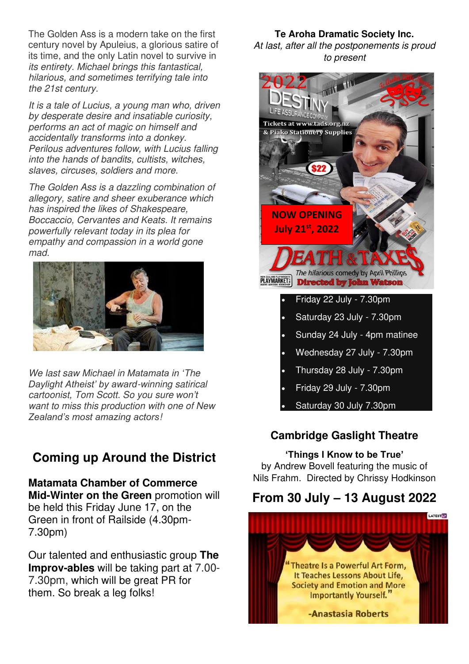The Golden Ass is a modern take on the first century novel by Apuleius, a glorious satire of its time, and the only Latin novel to survive in its entirety. Michael brings this fantastical, hilarious, and sometimes terrifying tale into the 21st century.

It is a tale of Lucius, a young man who, driven by desperate desire and insatiable curiosity, performs an act of magic on himself and accidentally transforms into a donkey. Perilous adventures follow, with Lucius falling into the hands of bandits, cultists, witches, slaves, circuses, soldiers and more.

The Golden Ass is a dazzling combination of allegory, satire and sheer exuberance which has inspired the likes of Shakespeare, Boccaccio, Cervantes and Keats. It remains powerfully relevant today in its plea for empathy and compassion in a world gone mad.



We last saw Michael in *Matamata in '*The *Daylight Atheist' by award*-winning satirical cartoonist, Tom Scott. So you sure *won't*  want to miss this production with one of New *Zealand's most amazing actors*!

## **Coming up Around the District**

**Matamata Chamber of Commerce Mid-Winter on the Green** promotion will be held this Friday June 17, on the Green in front of Railside (4.30pm-7.30pm)

Our talented and enthusiastic group **The Improv-ables** will be taking part at 7.00- 7.30pm, which will be great PR for them. So break a leg folks!

**Te Aroha Dramatic Society Inc.**  At last, after all the postponements is proud to present



- Thursday 28 July 7.30pm
- Friday 29 July 7.30pm
- Saturday 30 July 7.30pm

### **Cambridge Gaslight Theatre**

#### **'Things I Know to be True'**

by Andrew Bovell featuring the music of Nils Frahm. Directed by Chrissy Hodkinson

## **From 30 July – 13 August 2022**